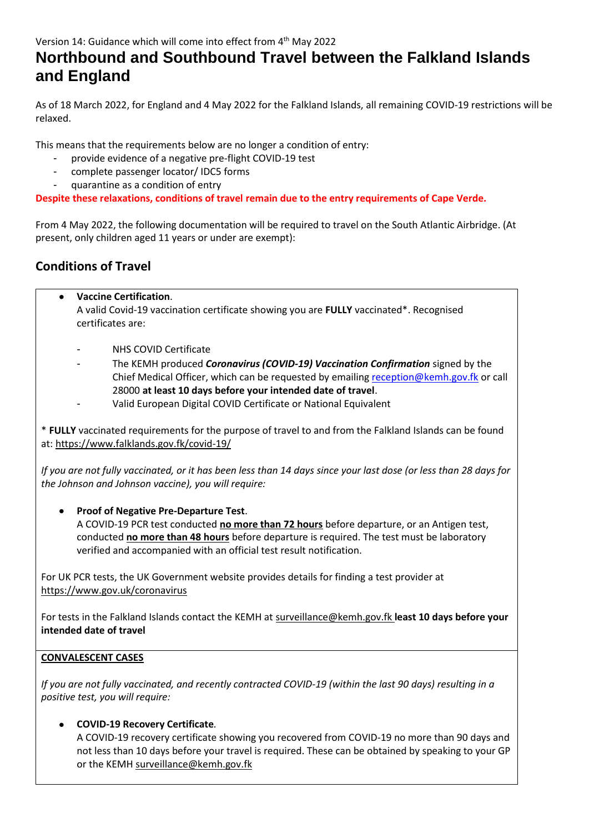# **Northbound and Southbound Travel between the Falkland Islands and England**

As of 18 March 2022, for England and 4 May 2022 for the Falkland Islands, all remaining COVID-19 restrictions will be relaxed.

This means that the requirements below are no longer a condition of entry:

- provide evidence of a negative pre-flight COVID-19 test
- complete passenger locator/ IDC5 forms
- quarantine as a condition of entry

**Despite these relaxations, conditions of travel remain due to the entry requirements of Cape Verde.**

From 4 May 2022, the following documentation will be required to travel on the South Atlantic Airbridge. (At present, only children aged 11 years or under are exempt):

## **Conditions of Travel**

- **Vaccine Certification**. A valid Covid-19 vaccination certificate showing you are **FULLY** vaccinated\*. Recognised certificates are:
	- NHS COVID Certificate
	- The KEMH produced *Coronavirus (COVID-19) Vaccination Confirmation* signed by the Chief Medical Officer, which can be requested by emailing [reception@kemh.gov.fk](mailto:reception@kemh.gov.fk) or call 28000 **at least 10 days before your intended date of travel**.
	- Valid European Digital COVID Certificate or National Equivalent

\* **FULLY** vaccinated requirements for the purpose of travel to and from the Falkland Islands can be found at: <https://www.falklands.gov.fk/covid-19/>

*If you are not fully vaccinated, or it has been less than 14 days since your last dose (or less than 28 days for the Johnson and Johnson vaccine), you will require:*

### • **Proof of Negative Pre-Departure Test**.

A COVID-19 PCR test conducted **no more than 72 hours** before departure, or an Antigen test, conducted **no more than 48 hours** before departure is required. The test must be laboratory verified and accompanied with an official test result notification.

For UK PCR tests, the UK Government website provides details for finding a test provider at <https://www.gov.uk/coronavirus>

For tests in the Falkland Islands contact the KEMH a[t surveillance@kemh.gov.fk](mailto:surveillance@kemh.gov.fk) **least 10 days before your intended date of travel**

### **CONVALESCENT CASES**

*If you are not fully vaccinated, and recently contracted COVID-19 (within the last 90 days) resulting in a positive test, you will require:*

### • **COVID-19 Recovery Certificate***.*

A COVID-19 recovery certificate showing you recovered from COVID-19 no more than 90 days and not less than 10 days before your travel is required. These can be obtained by speaking to your GP or the KEMH [surveillance@kemh.gov.fk](mailto:surveillance@kemh.gov.fk)